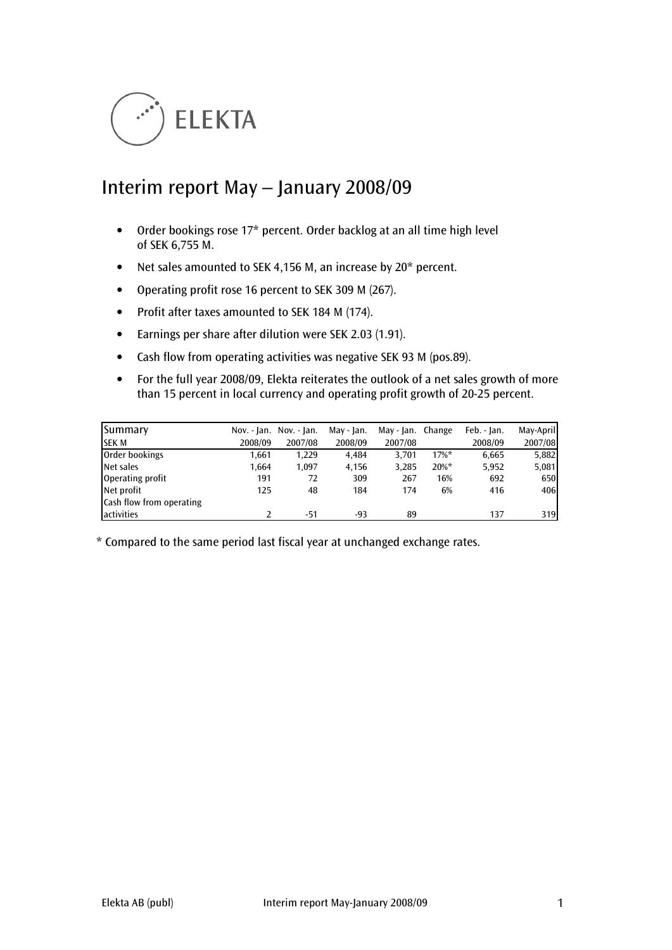

# Interim report May – January 2008/09

- Order bookings rose 17\* percent. Order backlog at an all time high level of SEK 6,755 M.
- Net sales amounted to SEK 4,156 M, an increase by 20\* percent.
- Operating profit rose 16 percent to SEK 309 M (267).
- Profit after taxes amounted to SEK 184 M (174).
- Earnings per share after dilution were SEK 2.03 (1.91).
- Cash flow from operating activities was negative SEK 93 M (pos.89).
- For the full year 2008/09, Elekta reiterates the outlook of a net sales growth of more than 15 percent in local currency and operating profit growth of 20-25 percent.

| Summary                  |         | Nov. - Jan. Nov. - Jan. | May - Jan. | May - Jan. Change |          | Feb. - Jan. | May-April |
|--------------------------|---------|-------------------------|------------|-------------------|----------|-------------|-----------|
| <b>SEKM</b>              | 2008/09 | 2007/08                 | 2008/09    | 2007/08           |          | 2008/09     | 2007/08   |
| Order bookings           | 1,661   | 1,229                   | 4,484      | 3.701             | $17\%$ * | 6,665       | 5,882     |
| Net sales                | 1,664   | 1,097                   | 4,156      | 3,285             | $20\%$ * | 5,952       | 5,081     |
| Operating profit         | 191     | 72                      | 309        | 267               | 16%      | 692         | 650       |
| Net profit               | 125     | 48                      | 184        | 174               | 6%       | 416         | 406       |
| Cash flow from operating |         |                         |            |                   |          |             |           |
| activities               |         | -51                     | -93        | 89                |          | 137         | 319       |

\* Compared to the same period last fiscal year at unchanged exchange rates.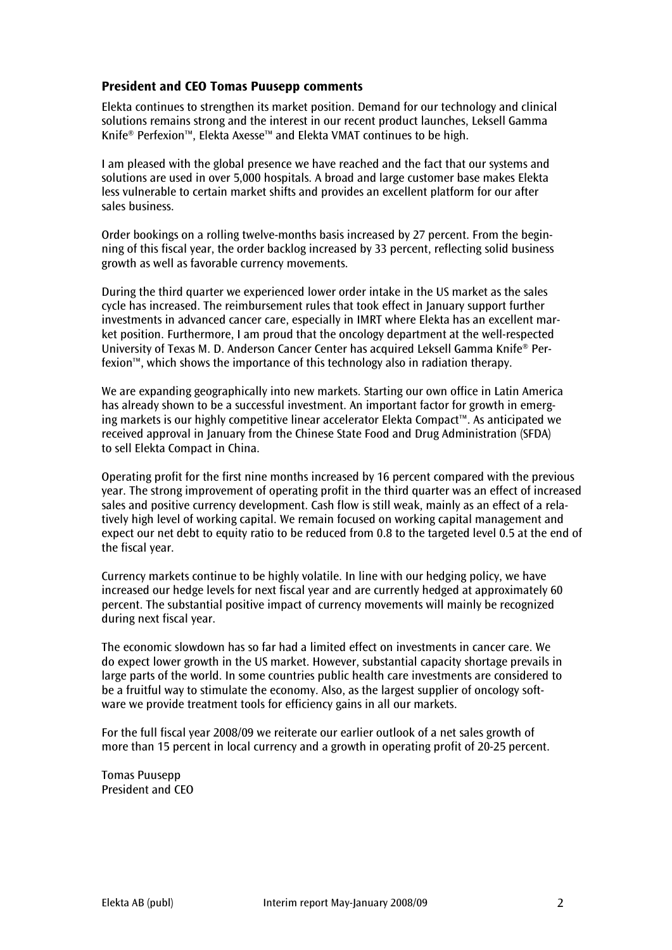# President and CEO Tomas Puusepp comments

Elekta continues to strengthen its market position. Demand for our technology and clinical solutions remains strong and the interest in our recent product launches, Leksell Gamma Knife® Perfexion™, Elekta Axesse™ and Elekta VMAT continues to be high.

I am pleased with the global presence we have reached and the fact that our systems and solutions are used in over 5,000 hospitals. A broad and large customer base makes Elekta less vulnerable to certain market shifts and provides an excellent platform for our after sales business.

Order bookings on a rolling twelve-months basis increased by 27 percent. From the beginning of this fiscal year, the order backlog increased by 33 percent, reflecting solid business growth as well as favorable currency movements.

During the third quarter we experienced lower order intake in the US market as the sales cycle has increased. The reimbursement rules that took effect in January support further investments in advanced cancer care, especially in IMRT where Elekta has an excellent market position. Furthermore, I am proud that the oncology department at the well-respected University of Texas M. D. Anderson Cancer Center has acquired Leksell Gamma Knife® Perfexion™, which shows the importance of this technology also in radiation therapy.

We are expanding geographically into new markets. Starting our own office in Latin America has already shown to be a successful investment. An important factor for growth in emerging markets is our highly competitive linear accelerator Elekta Compact™. As anticipated we received approval in January from the Chinese State Food and Drug Administration (SFDA) to sell Elekta Compact in China.

Operating profit for the first nine months increased by 16 percent compared with the previous year. The strong improvement of operating profit in the third quarter was an effect of increased sales and positive currency development. Cash flow is still weak, mainly as an effect of a relatively high level of working capital. We remain focused on working capital management and expect our net debt to equity ratio to be reduced from 0.8 to the targeted level 0.5 at the end of the fiscal year.

Currency markets continue to be highly volatile. In line with our hedging policy, we have increased our hedge levels for next fiscal year and are currently hedged at approximately 60 percent. The substantial positive impact of currency movements will mainly be recognized during next fiscal year.

The economic slowdown has so far had a limited effect on investments in cancer care. We do expect lower growth in the US market. However, substantial capacity shortage prevails in large parts of the world. In some countries public health care investments are considered to be a fruitful way to stimulate the economy. Also, as the largest supplier of oncology software we provide treatment tools for efficiency gains in all our markets.

For the full fiscal year 2008/09 we reiterate our earlier outlook of a net sales growth of more than 15 percent in local currency and a growth in operating profit of 20-25 percent.

Tomas Puusepp President and CEO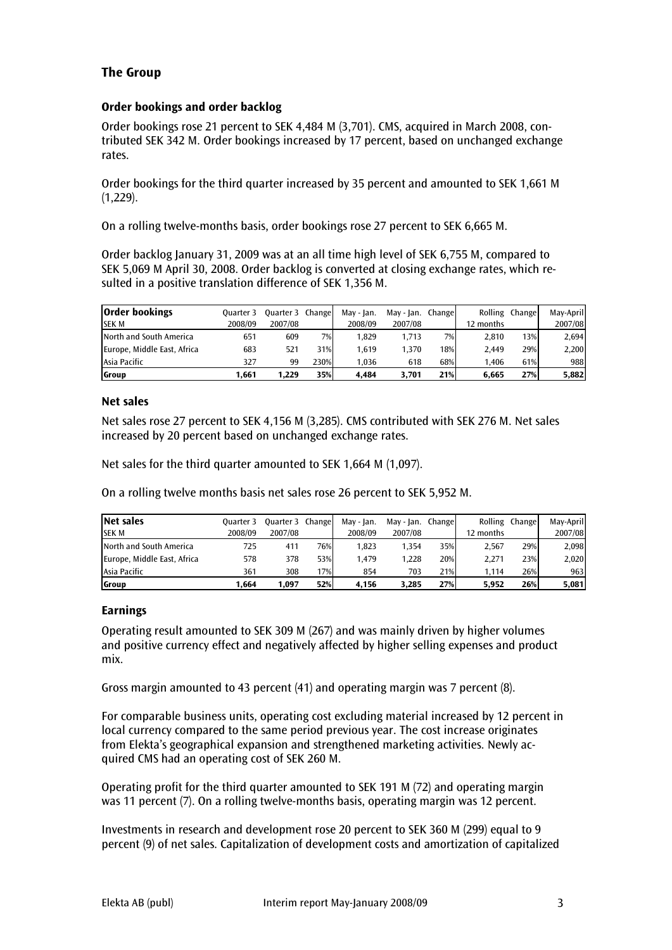# The Group

## Order bookings and order backlog

Order bookings rose 21 percent to SEK 4,484 M (3,701). CMS, acquired in March 2008, contributed SEK 342 M. Order bookings increased by 17 percent, based on unchanged exchange rates.

Order bookings for the third quarter increased by 35 percent and amounted to SEK 1,661 M  $(1,229)$ .

On a rolling twelve-months basis, order bookings rose 27 percent to SEK 6,665 M.

Order backlog January 31, 2009 was at an all time high level of SEK 6,755 M, compared to SEK 5,069 M April 30, 2008. Order backlog is converted at closing exchange rates, which resulted in a positive translation difference of SEK 1,356 M.

| <b>Order bookings</b>       | Ouarter 3 | Quarter 3 Change |      | May - Jan. | Mav - Ian. | Changel | Rolling   | Change | May-April |
|-----------------------------|-----------|------------------|------|------------|------------|---------|-----------|--------|-----------|
| <b>SEK M</b>                | 2008/09   | 2007/08          |      | 2008/09    | 2007/08    |         | 12 months |        | 2007/08   |
| North and South America     | 651       | 609              | 7%   | 1.829      | 1.713      | 7%      | 2.810     | 13%    | 2.694     |
| Europe, Middle East, Africa | 683       | 521              | 31%  | 1.619      | 1.370      | 18%     | 2.449     | 29%    | 2,200     |
| Asia Pacific                | 327       | 99               | 230% | 1.036      | 618        | 68%     | 1.406     | 61%    | 988       |
| Group                       | 1.661     | 1.229            | 35%  | 4.484      | 3.701      | 21%     | 6.665     | 27%    | 5,882     |

#### Net sales

Net sales rose 27 percent to SEK 4,156 M (3,285). CMS contributed with SEK 276 M. Net sales increased by 20 percent based on unchanged exchange rates.

Net sales for the third quarter amounted to SEK 1,664 M (1,097).

On a rolling twelve months basis net sales rose 26 percent to SEK 5,952 M.

| Net sales                   | Ouarter 3 | Quarter 3 Change |     | May - Jan. | May - Jan. Change |     |           | Rolling Change | May-April |
|-----------------------------|-----------|------------------|-----|------------|-------------------|-----|-----------|----------------|-----------|
| <b>SEK M</b>                | 2008/09   | 2007/08          |     | 2008/09    | 2007/08           |     | 12 months |                | 2007/08   |
| North and South America     | 725       | 411              | 76% | 1.823      | 1.354             | 35% | 2.567     | 29%            | 2,098     |
| Europe, Middle East, Africa | 578       | 378              | 53% | 1.479      | 1.228             | 20% | 2.271     | 23%            | 2,020     |
| Asia Pacific                | 361       | 308              | 17% | 854        | 703               | 21% | 1.114     | 26%            | 963       |
| Group                       | 1.664     | 1,097            | 52% | 4.156      | 3.285             | 27% | 5.952     | 26%            | 5,081     |

#### Earnings

Operating result amounted to SEK 309 M (267) and was mainly driven by higher volumes and positive currency effect and negatively affected by higher selling expenses and product mix.

Gross margin amounted to 43 percent (41) and operating margin was 7 percent (8).

For comparable business units, operating cost excluding material increased by 12 percent in local currency compared to the same period previous year. The cost increase originates from Elekta's geographical expansion and strengthened marketing activities. Newly acquired CMS had an operating cost of SEK 260 M.

Operating profit for the third quarter amounted to SEK 191 M (72) and operating margin was 11 percent (7). On a rolling twelve-months basis, operating margin was 12 percent.

Investments in research and development rose 20 percent to SEK 360 M (299) equal to 9 percent (9) of net sales. Capitalization of development costs and amortization of capitalized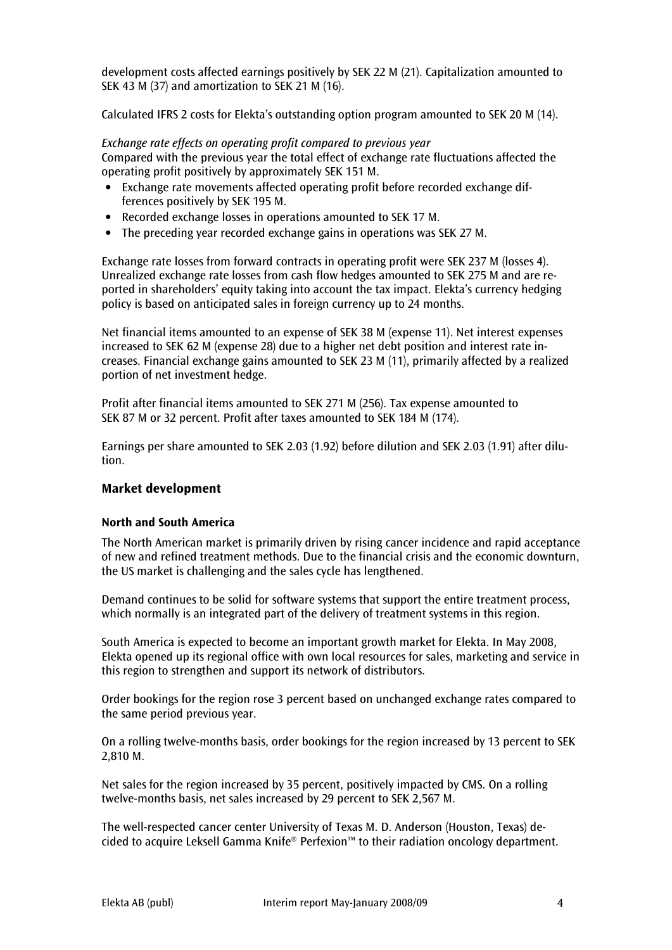development costs affected earnings positively by SEK 22 M (21). Capitalization amounted to SEK 43 M (37) and amortization to SEK 21 M (16).

Calculated IFRS 2 costs for Elekta's outstanding option program amounted to SEK 20 M (14).

Exchange rate effects on operating profit compared to previous year Compared with the previous year the total effect of exchange rate fluctuations affected the operating profit positively by approximately SEK 151 M.

- Exchange rate movements affected operating profit before recorded exchange differences positively by SEK 195 M.
- Recorded exchange losses in operations amounted to SEK 17 M.
- The preceding year recorded exchange gains in operations was SEK 27 M.

Exchange rate losses from forward contracts in operating profit were SEK 237 M (losses 4). Unrealized exchange rate losses from cash flow hedges amounted to SEK 275 M and are reported in shareholders' equity taking into account the tax impact. Elekta's currency hedging policy is based on anticipated sales in foreign currency up to 24 months.

Net financial items amounted to an expense of SEK 38 M (expense 11). Net interest expenses increased to SEK 62 M (expense 28) due to a higher net debt position and interest rate increases. Financial exchange gains amounted to SEK 23 M (11), primarily affected by a realized portion of net investment hedge.

Profit after financial items amounted to SEK 271 M (256). Tax expense amounted to SEK 87 M or 32 percent. Profit after taxes amounted to SEK 184 M (174).

Earnings per share amounted to SEK 2.03 (1.92) before dilution and SEK 2.03 (1.91) after dilution.

# Market development

#### North and South America

The North American market is primarily driven by rising cancer incidence and rapid acceptance of new and refined treatment methods. Due to the financial crisis and the economic downturn, the US market is challenging and the sales cycle has lengthened.

Demand continues to be solid for software systems that support the entire treatment process, which normally is an integrated part of the delivery of treatment systems in this region.

South America is expected to become an important growth market for Elekta. In May 2008, Elekta opened up its regional office with own local resources for sales, marketing and service in this region to strengthen and support its network of distributors.

Order bookings for the region rose 3 percent based on unchanged exchange rates compared to the same period previous year.

On a rolling twelve-months basis, order bookings for the region increased by 13 percent to SEK 2,810 M.

Net sales for the region increased by 35 percent, positively impacted by CMS. On a rolling twelve-months basis, net sales increased by 29 percent to SEK 2,567 M.

The well-respected cancer center University of Texas M. D. Anderson (Houston, Texas) decided to acquire Leksell Gamma Knife® Perfexion™ to their radiation oncology department.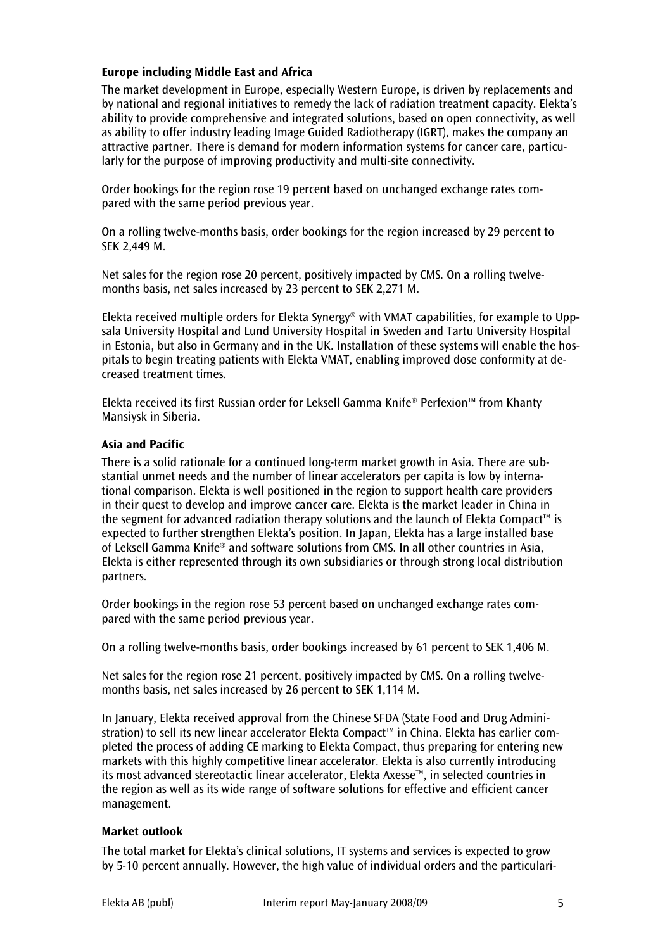# Europe including Middle East and Africa

The market development in Europe, especially Western Europe, is driven by replacements and by national and regional initiatives to remedy the lack of radiation treatment capacity. Elekta's ability to provide comprehensive and integrated solutions, based on open connectivity, as well as ability to offer industry leading Image Guided Radiotherapy (IGRT), makes the company an attractive partner. There is demand for modern information systems for cancer care, particularly for the purpose of improving productivity and multi-site connectivity.

Order bookings for the region rose 19 percent based on unchanged exchange rates compared with the same period previous year.

On a rolling twelve-months basis, order bookings for the region increased by 29 percent to SEK 2,449 M.

Net sales for the region rose 20 percent, positively impacted by CMS. On a rolling twelvemonths basis, net sales increased by 23 percent to SEK 2,271 M.

Elekta received multiple orders for Elekta Synergy® with VMAT capabilities, for example to Uppsala University Hospital and Lund University Hospital in Sweden and Tartu University Hospital in Estonia, but also in Germany and in the UK. Installation of these systems will enable the hospitals to begin treating patients with Elekta VMAT, enabling improved dose conformity at decreased treatment times.

Elekta received its first Russian order for Leksell Gamma Knife® Perfexion™ from Khanty Mansiysk in Siberia.

#### Asia and Pacific

There is a solid rationale for a continued long-term market growth in Asia. There are substantial unmet needs and the number of linear accelerators per capita is low by international comparison. Elekta is well positioned in the region to support health care providers in their quest to develop and improve cancer care. Elekta is the market leader in China in the segment for advanced radiation therapy solutions and the launch of Elekta Compact™ is expected to further strengthen Elekta's position. In Japan, Elekta has a large installed base of Leksell Gamma Knife® and software solutions from CMS. In all other countries in Asia, Elekta is either represented through its own subsidiaries or through strong local distribution partners.

Order bookings in the region rose 53 percent based on unchanged exchange rates compared with the same period previous year.

On a rolling twelve-months basis, order bookings increased by 61 percent to SEK 1,406 M.

Net sales for the region rose 21 percent, positively impacted by CMS. On a rolling twelvemonths basis, net sales increased by 26 percent to SEK 1,114 M.

In January, Elekta received approval from the Chinese SFDA (State Food and Drug Administration) to sell its new linear accelerator Elekta Compact™ in China. Elekta has earlier completed the process of adding CE marking to Elekta Compact, thus preparing for entering new markets with this highly competitive linear accelerator. Elekta is also currently introducing its most advanced stereotactic linear accelerator, Elekta Axesse™, in selected countries in the region as well as its wide range of software solutions for effective and efficient cancer management.

#### Market outlook

The total market for Elekta's clinical solutions, IT systems and services is expected to grow by 5-10 percent annually. However, the high value of individual orders and the particulari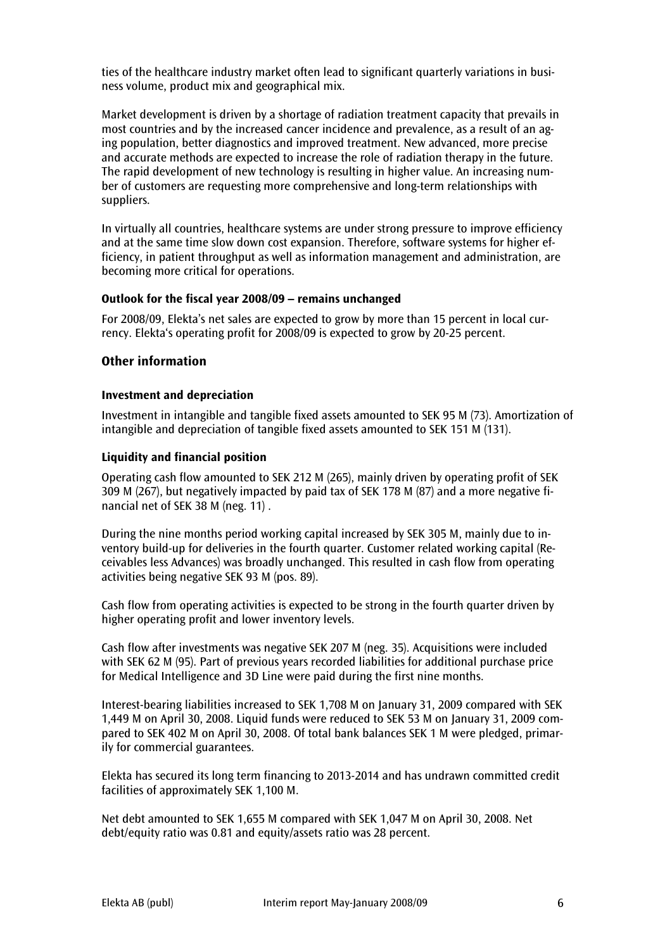ties of the healthcare industry market often lead to significant quarterly variations in business volume, product mix and geographical mix.

Market development is driven by a shortage of radiation treatment capacity that prevails in most countries and by the increased cancer incidence and prevalence, as a result of an aging population, better diagnostics and improved treatment. New advanced, more precise and accurate methods are expected to increase the role of radiation therapy in the future. The rapid development of new technology is resulting in higher value. An increasing number of customers are requesting more comprehensive and long-term relationships with suppliers.

In virtually all countries, healthcare systems are under strong pressure to improve efficiency and at the same time slow down cost expansion. Therefore, software systems for higher efficiency, in patient throughput as well as information management and administration, are becoming more critical for operations.

#### Outlook for the fiscal year 2008/09 – remains unchanged

For 2008/09, Elekta's net sales are expected to grow by more than 15 percent in local currency. Elekta's operating profit for 2008/09 is expected to grow by 20-25 percent.

## Other information

## Investment and depreciation

Investment in intangible and tangible fixed assets amounted to SEK 95 M (73). Amortization of intangible and depreciation of tangible fixed assets amounted to SEK 151 M (131).

## Liquidity and financial position

Operating cash flow amounted to SEK 212 M (265), mainly driven by operating profit of SEK 309 M (267), but negatively impacted by paid tax of SEK 178 M (87) and a more negative financial net of SEK 38 M (neg. 11) .

During the nine months period working capital increased by SEK 305 M, mainly due to inventory build-up for deliveries in the fourth quarter. Customer related working capital (Receivables less Advances) was broadly unchanged. This resulted in cash flow from operating activities being negative SEK 93 M (pos. 89).

Cash flow from operating activities is expected to be strong in the fourth quarter driven by higher operating profit and lower inventory levels.

Cash flow after investments was negative SEK 207 M (neg. 35). Acquisitions were included with SEK 62 M (95). Part of previous years recorded liabilities for additional purchase price for Medical Intelligence and 3D Line were paid during the first nine months.

Interest-bearing liabilities increased to SEK 1,708 M on January 31, 2009 compared with SEK 1,449 M on April 30, 2008. Liquid funds were reduced to SEK 53 M on January 31, 2009 compared to SEK 402 M on April 30, 2008. Of total bank balances SEK 1 M were pledged, primarily for commercial guarantees.

Elekta has secured its long term financing to 2013-2014 and has undrawn committed credit facilities of approximately SEK 1,100 M.

Net debt amounted to SEK 1,655 M compared with SEK 1,047 M on April 30, 2008. Net debt/equity ratio was 0.81 and equity/assets ratio was 28 percent.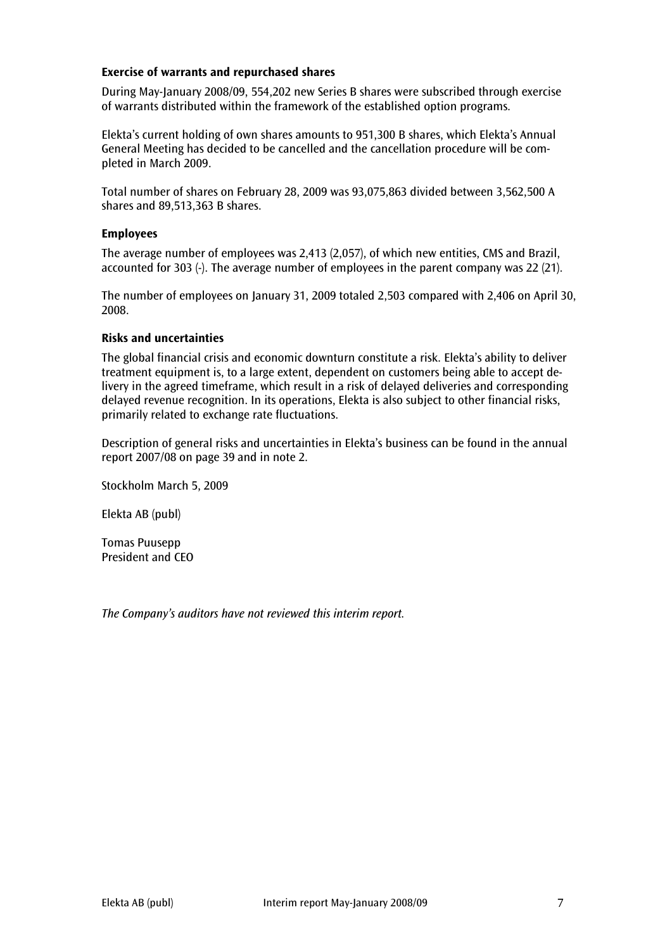## Exercise of warrants and repurchased shares

During May-January 2008/09, 554,202 new Series B shares were subscribed through exercise of warrants distributed within the framework of the established option programs.

Elekta's current holding of own shares amounts to 951,300 B shares, which Elekta's Annual General Meeting has decided to be cancelled and the cancellation procedure will be completed in March 2009.

Total number of shares on February 28, 2009 was 93,075,863 divided between 3,562,500 A shares and 89,513,363 B shares.

#### Employees

The average number of employees was 2,413 (2,057), of which new entities, CMS and Brazil, accounted for 303 (-). The average number of employees in the parent company was 22 (21).

The number of employees on January 31, 2009 totaled 2,503 compared with 2,406 on April 30, 2008.

#### Risks and uncertainties

The global financial crisis and economic downturn constitute a risk. Elekta's ability to deliver treatment equipment is, to a large extent, dependent on customers being able to accept delivery in the agreed timeframe, which result in a risk of delayed deliveries and corresponding delayed revenue recognition. In its operations, Elekta is also subject to other financial risks, primarily related to exchange rate fluctuations.

Description of general risks and uncertainties in Elekta's business can be found in the annual report 2007/08 on page 39 and in note 2.

Stockholm March 5, 2009

Elekta AB (publ)

Tomas Puusepp President and CEO

The Company's auditors have not reviewed this interim report.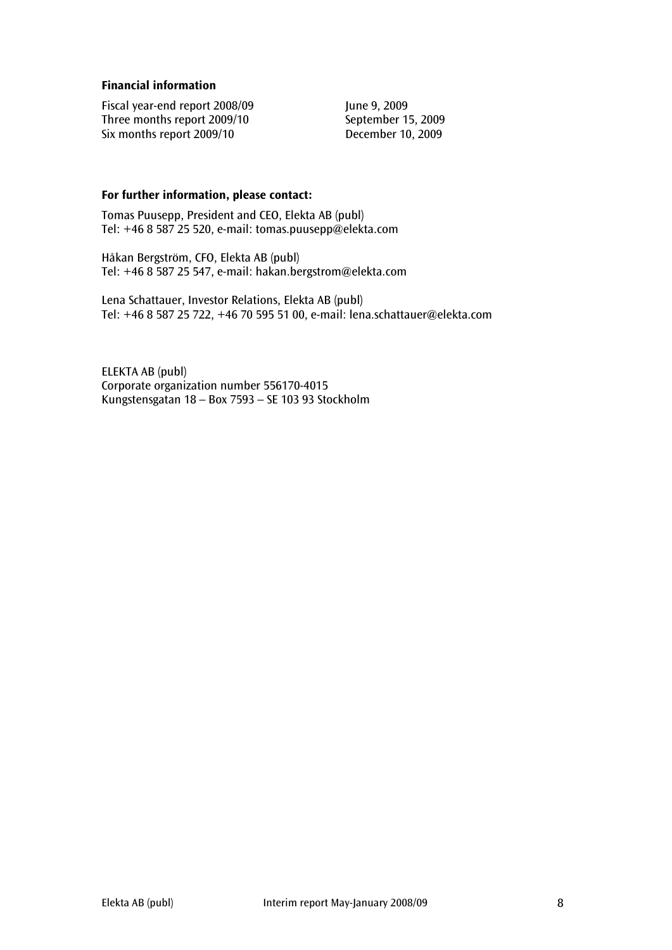## Financial information

Fiscal year-end report 2008/09<br>
Three months report 2009/10<br>
September 15, 2009 Three months report 2009/10 Six months report 2009/10 December 10, 2009

# For further information, please contact:

Tomas Puusepp, President and CEO, Elekta AB (publ) Tel: +46 8 587 25 520, e-mail: tomas.puusepp@elekta.com

Håkan Bergström, CFO, Elekta AB (publ) Tel: +46 8 587 25 547, e-mail: hakan.bergstrom@elekta.com

Lena Schattauer, Investor Relations, Elekta AB (publ) Tel: +46 8 587 25 722, +46 70 595 51 00, e-mail: lena.schattauer@elekta.com

ELEKTA AB (publ) Corporate organization number 556170-4015 Kungstensgatan 18 – Box 7593 – SE 103 93 Stockholm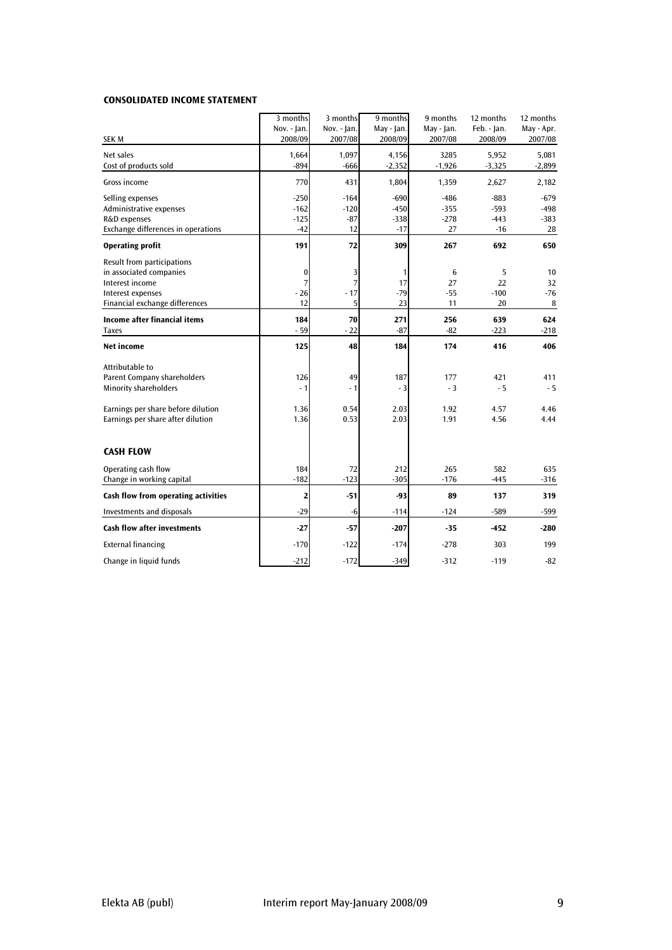#### CONSOLIDATED INCOME STATEMENT

|                                                       | 3 months<br>Nov. - Jan. | 3 months<br>Nov. - Jan. | 9 months<br>May - Jan. | 9 months<br>May - Jan. | 12 months<br>Feb. - Jan. | 12 months<br>May - Apr. |
|-------------------------------------------------------|-------------------------|-------------------------|------------------------|------------------------|--------------------------|-------------------------|
| <b>SEK M</b>                                          | 2008/09                 | 2007/08                 | 2008/09                | 2007/08                | 2008/09                  | 2007/08                 |
| Net sales<br>Cost of products sold                    | 1,664<br>$-894$         | 1,097<br>$-666$         | 4,156<br>$-2,352$      | 3285<br>$-1,926$       | 5,952<br>$-3,325$        | 5,081<br>$-2,899$       |
|                                                       |                         |                         |                        |                        |                          |                         |
| Gross income                                          | 770                     | 431                     | 1,804                  | 1,359                  | 2,627                    | 2,182                   |
| Selling expenses                                      | $-250$                  | $-164$                  | $-690$                 | $-486$                 | $-883$                   | $-679$                  |
| Administrative expenses                               | $-162$                  | $-120$                  | $-450$                 | $-355$                 | $-593$                   | -498                    |
| R&D expenses<br>Exchange differences in operations    | $-125$<br>$-42$         | $-87$<br>12             | $-338$<br>$-17$        | $-278$<br>27           | $-443$<br>$-16$          | $-383$<br>28            |
| <b>Operating profit</b>                               | 191                     | 72                      | 309                    | 267                    | 692                      | 650                     |
|                                                       |                         |                         |                        |                        |                          |                         |
| Result from participations<br>in associated companies | 0                       | 3                       | 1                      | 6                      | 5                        | 10                      |
| Interest income                                       | 7                       | 7                       | 17                     | 27                     | 22                       | 32                      |
| Interest expenses                                     | $-26$                   | $-17$                   | $-79$                  | $-55$                  | $-100$                   | $-76$                   |
| Financial exchange differences                        | 12                      | 5                       | 23                     | 11                     | 20                       | 8                       |
| <b>Income after financial items</b>                   | 184                     | 70                      | 271                    | 256                    | 639                      | 624                     |
| <b>Taxes</b>                                          | $-59$                   | $-22$                   | $-87$                  | $-82$                  | $-223$                   | $-218$                  |
| Net income                                            | 125                     | 48                      | 184                    | 174                    | 416                      | 406                     |
| Attributable to                                       |                         |                         |                        |                        |                          |                         |
| <b>Parent Company shareholders</b>                    | 126                     | 49                      | 187                    | 177                    | 421                      | 411                     |
| <b>Minority shareholders</b>                          | $-1$                    | $-1$                    | $-3$                   | $-3$                   | $-5$                     | $-5$                    |
| Earnings per share before dilution                    | 1.36                    | 0.54                    | 2.03                   | 1.92                   | 4.57                     | 4.46                    |
| Earnings per share after dilution                     | 1.36                    | 0.53                    | 2.03                   | 1.91                   | 4.56                     | 4.44                    |
| <b>CASH FLOW</b>                                      |                         |                         |                        |                        |                          |                         |
| Operating cash flow                                   | 184                     | 72                      | 212                    | 265                    | 582                      | 635                     |
| Change in working capital                             | $-182$                  | $-123$                  | $-305$                 | $-176$                 | $-445$                   | $-316$                  |
| Cash flow from operating activities                   | 2                       | $-51$                   | $-93$                  | 89                     | 137                      | 319                     |
| <b>Investments and disposals</b>                      | $-29$                   | -6                      | $-114$                 | -124                   | $-589$                   | -599                    |
| <b>Cash flow after investments</b>                    | $-27$                   | -57                     | $-207$                 | $-35$                  | -452                     | $-280$                  |
| <b>External financing</b>                             | $-170$                  | $-122$                  | $-174$                 | $-278$                 | 303                      | 199                     |
| Change in liquid funds                                | $-212$                  | $-172$                  | $-349$                 | $-312$                 | $-119$                   | $-82$                   |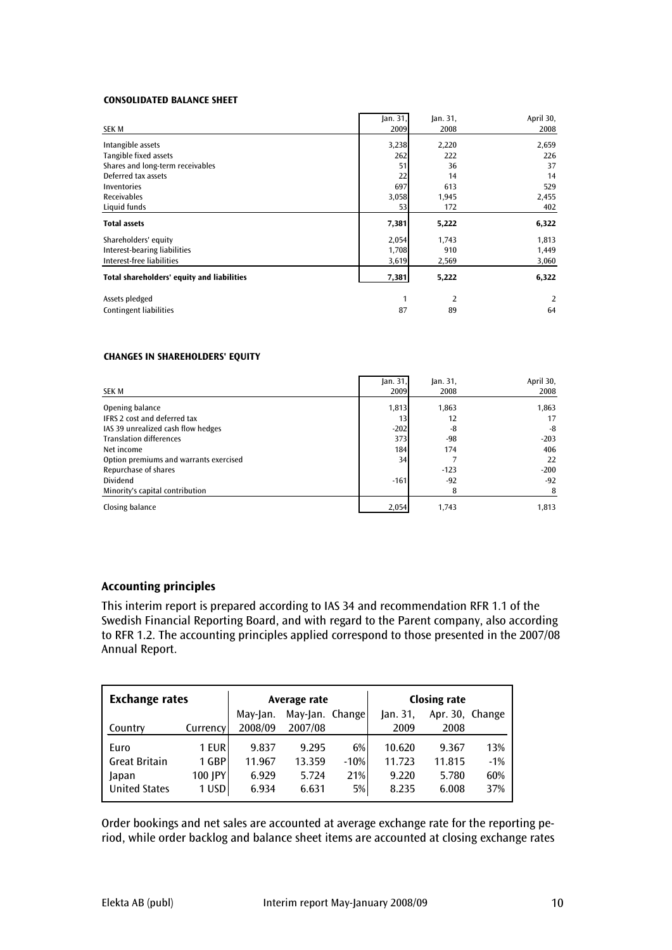#### CONSOLIDATED BALANCE SHEET

| <b>SEK M</b>                               | Jan. 31,<br>2009 | Jan. 31,<br>2008 | April 30,<br>2008 |
|--------------------------------------------|------------------|------------------|-------------------|
| Intangible assets                          | 3,238            | 2,220            | 2,659             |
| Tangible fixed assets                      | 262              | 222              | 226               |
| Shares and long-term receivables           | 51               | 36               | 37                |
| Deferred tax assets                        | 22               | 14               | 14                |
| Inventories                                | 697              | 613              | 529               |
| <b>Receivables</b>                         | 3,058            | 1,945            | 2,455             |
| Liquid funds                               | 53               | 172              | 402               |
| <b>Total assets</b>                        | 7,381            | 5,222            | 6,322             |
| Shareholders' equity                       | 2,054            | 1,743            | 1,813             |
| Interest-bearing liabilities               | 1,708            | 910              | 1,449             |
| Interest-free liabilities                  | 3,619            | 2,569            | 3,060             |
| Total shareholders' equity and liabilities | 7,381            | 5,222            | 6,322             |
| Assets pledged                             | 1                | 2                | 2                 |
| Contingent liabilities                     | 87               | 89               | 64                |

#### CHANGES IN SHAREHOLDERS' EQUITY

| <b>SEK M</b>                           | Jan. 31,<br>2009 | $\lambda$ n. 31,<br>2008 | April 30,<br>2008 |
|----------------------------------------|------------------|--------------------------|-------------------|
| Opening balance                        | 1,813            | 1,863                    | 1,863             |
| IFRS 2 cost and deferred tax           | 13 <sub>l</sub>  | 12                       | 17                |
| IAS 39 unrealized cash flow hedges     | $-202$           | -8                       | -8                |
| <b>Translation differences</b>         | 373              | -98                      | $-203$            |
| Net income                             | 184              | 174                      | 406               |
| Option premiums and warrants exercised | 34               |                          | 22                |
| Repurchase of shares                   |                  | $-123$                   | $-200$            |
| Dividend                               | $-161$           | $-92$                    | $-92$             |
| Minority's capital contribution        |                  | 8                        |                   |
| Closing balance                        | 2,054            | 1,743                    | 1.813             |

# Accounting principles

This interim report is prepared according to IAS 34 and recommendation RFR 1.1 of the Swedish Financial Reporting Board, and with regard to the Parent company, also according to RFR 1.2. The accounting principles applied correspond to those presented in the 2007/08 Annual Report.

| <b>Exchange rates</b> |          |                             | Average rate |        | <b>Closing rate</b> |                 |       |  |
|-----------------------|----------|-----------------------------|--------------|--------|---------------------|-----------------|-------|--|
|                       |          | May-Jan. Change<br>May-Jan. |              |        | $\lambda$ lan. 31,  | Apr. 30, Change |       |  |
| Country               | Currency | 2008/09                     | 2007/08      |        | 2009                | 2008            |       |  |
| Euro                  | 1 EUR    | 9.837                       | 9.295        | 6%     | 10.620              | 9.367           | 13%   |  |
| <b>Great Britain</b>  | 1 GBP    | 11.967                      | 13.359       | $-10%$ | 11.723              | 11.815          | $-1%$ |  |
| Japan                 | 100 JPY  | 6.929                       | 5.724        | 21%    | 9.220               | 5.780           | 60%   |  |
| <b>United States</b>  | 1 USD    | 6.934                       | 6.631        | 5%     | 8.235               | 6.008           | 37%   |  |

Order bookings and net sales are accounted at average exchange rate for the reporting period, while order backlog and balance sheet items are accounted at closing exchange rates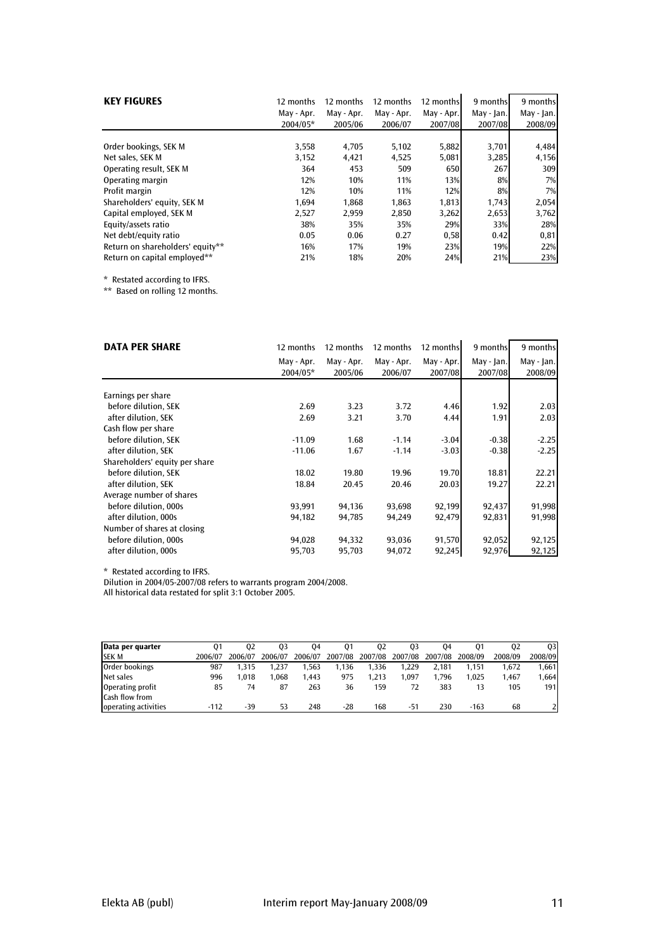| <b>KEY FIGURES</b>               | 12 months  | 12 months  | 12 months  | 12 months  | 9 months     | 9 months   |
|----------------------------------|------------|------------|------------|------------|--------------|------------|
|                                  | May - Apr. | May - Apr. | May - Apr. | May - Apr. | $May - Jan.$ | May - Jan. |
|                                  | 2004/05*   | 2005/06    | 2006/07    | 2007/08    | 2007/08      | 2008/09    |
| Order bookings, SEK M            | 3,558      | 4,705      | 5,102      | 5,882      | 3,701        | 4,484      |
| Net sales, SEK M                 | 3,152      | 4,421      | 4,525      | 5,081      | 3,285        | 4,156      |
| Operating result, SEK M          | 364        | 453        | 509        | 650        | 267          | 309        |
| Operating margin                 | 12%        | 10%        | 11%        | 13%        | 8%           | 7%         |
| Profit margin                    | 12%        | 10%        | 11%        | 12%        | 8%           | 7%         |
| Shareholders' equity, SEK M      | 1,694      | 1,868      | 1,863      | 1,813      | 1,743        | 2,054      |
| Capital employed, SEK M          | 2,527      | 2.959      | 2,850      | 3,262      | 2,653        | 3,762      |
| Equity/assets ratio              | 38%        | 35%        | 35%        | 29%        | 33%          | 28%        |
| Net debt/equity ratio            | 0.05       | 0.06       | 0.27       | 0,58       | 0.42         | 0,81       |
| Return on shareholders' equity** | 16%        | 17%        | 19%        | 23%        | 19%          | 22%        |
| Return on capital emploved**     | 21%        | 18%        | 20%        | 24%        | 21%          | 23%        |

\* Restated according to IFRS.

\*\* Based on rolling 12 months.

| <b>DATA PER SHARE</b>          | 12 months  | 12 months  | 12 months  | 12 monthsl | 9 months   | 9 months   |
|--------------------------------|------------|------------|------------|------------|------------|------------|
|                                | May - Apr. | May - Apr. | May - Apr. | May - Apr. | May - Jan. | May - Jan. |
|                                | 2004/05*   | 2005/06    | 2006/07    | 2007/08    | 2007/08    | 2008/09    |
|                                |            |            |            |            |            |            |
| Earnings per share             |            |            |            |            |            |            |
| before dilution, SEK           | 2.69       | 3.23       | 3.72       | 4.46       | 1.92       | 2.03       |
| after dilution, SEK            | 2.69       | 3.21       | 3.70       | 4.44       | 1.91       | 2.03       |
| Cash flow per share            |            |            |            |            |            |            |
| before dilution, SEK           | $-11.09$   | 1.68       | $-1.14$    | $-3.04$    | $-0.38$    | $-2.25$    |
| after dilution, SEK            | $-11.06$   | 1.67       | $-1.14$    | $-3.03$    | $-0.38$    | $-2.25$    |
| Shareholders' equity per share |            |            |            |            |            |            |
| before dilution. SEK           | 18.02      | 19.80      | 19.96      | 19.70      | 18.81      | 22.21      |
| after dilution, SEK            | 18.84      | 20.45      | 20.46      | 20.03      | 19.27      | 22.21      |
| Average number of shares       |            |            |            |            |            |            |
| before dilution, 000s          | 93,991     | 94,136     | 93,698     | 92,199     | 92,437     | 91,998     |
| after dilution, 000s           | 94,182     | 94,785     | 94,249     | 92,479     | 92,831     | 91,998     |
| Number of shares at closing    |            |            |            |            |            |            |
| before dilution, 000s          | 94,028     | 94,332     | 93,036     | 91,570     | 92,052     | 92,125     |
| after dilution, 000s           | 95,703     | 95,703     | 94,072     | 92,245     | 92,976     | 92,125     |

\* Restated according to IFRS.

Dilution in 2004/05-2007/08 refers to warrants program 2004/2008.

All historical data restated for split 3:1 October 2005.

| Data per quarter     | 01      | 02      | 03      | 04      | 01      | 02      | 03      | 04      | 01      | 02      | 03.     |
|----------------------|---------|---------|---------|---------|---------|---------|---------|---------|---------|---------|---------|
| <b>SEK M</b>         | 2006/07 | 2006/07 | 2006/07 | 2006/07 | 2007/08 | 2007/08 | 2007/08 | 2007/08 | 2008/09 | 2008/09 | 2008/09 |
| Order bookings       | 987     | 1.315   | 1.237   | .563    | 1.136   | 1.336   | 1.229   | 2.181   | 1.151   | 1.672   | 1,661   |
| Net sales            | 996     | .018    | 1.068   | 1.443   | 975     | 1.213   | 1.097   | 1.796   | 1.025   | .467    | 1,664   |
| Operating profit     | 85      | 74      | 87      | 263     | 36      | 159     |         | 383     |         | 105     | 191     |
| Cash flow from       |         |         |         |         |         |         |         |         |         |         |         |
| operating activities | $-112$  | $-39$   | 53      | 248     | $-28$   | 168     | -51     | 230     | $-163$  | 68      |         |